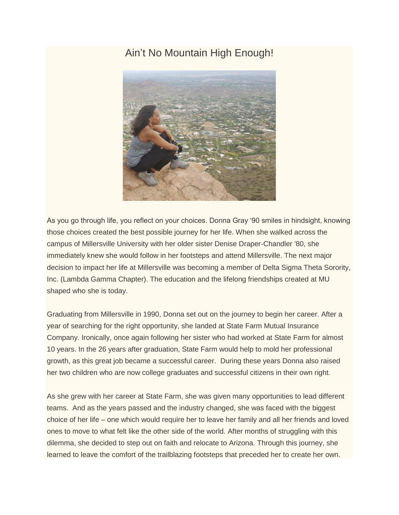## Ain't No Mountain High Enough!



As you go through life, you reflect on your choices. Donna Gray '90 smiles in hindsight, knowing those choices created the best possible journey for her life. When she walked across the campus of Millersville University with her older sister Denise Draper-Chandler '80, she immediately knew she would follow in her footsteps and attend Millersville. The next major decision to impact her life at Millersville was becoming a member of Delta Sigma Theta Sorority, Inc. (Lambda Gamma Chapter). The education and the lifelong friendships created at MU shaped who she is today.

Graduating from Millersville in 1990, Donna set out on the journey to begin her career. After a year of searching for the right opportunity, she landed at State Farm Mutual Insurance Company. Ironically, once again following her sister who had worked at State Farm for almost 10 years. In the 26 years after graduation, State Farm would help to mold her professional growth, as this great job became a successful career. During these years Donna also raised her two children who are now college graduates and successful citizens in their own right.

As she grew with her career at State Farm, she was given many opportunities to lead different teams. And as the years passed and the industry changed, she was faced with the biggest choice of her life – one which would require her to leave her family and all her friends and loved ones to move to what felt like the other side of the world. After months of struggling with this dilemma, she decided to step out on faith and relocate to Arizona. Through this journey, she learned to leave the comfort of the trailblazing footsteps that preceded her to create her own.